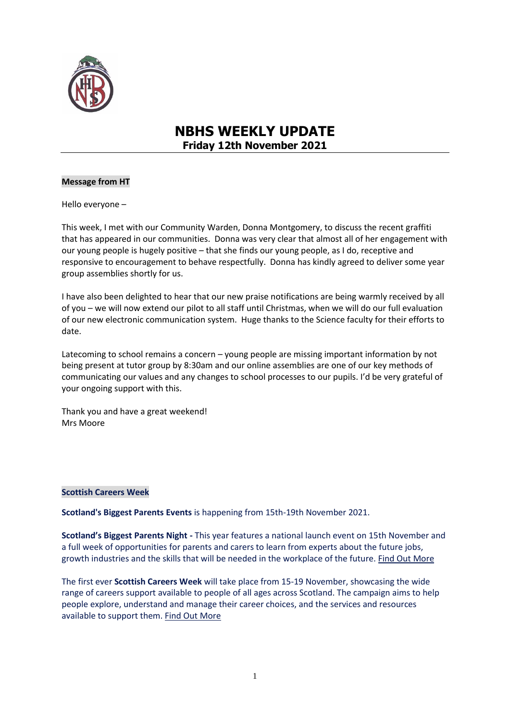

# **NBHS WEEKLY UPDATE Friday 12th November 2021**

## **Message from HT**

Hello everyone –

This week, I met with our Community Warden, Donna Montgomery, to discuss the recent graffiti that has appeared in our communities. Donna was very clear that almost all of her engagement with our young people is hugely positive – that she finds our young people, as I do, receptive and responsive to encouragement to behave respectfully. Donna has kindly agreed to deliver some year group assemblies shortly for us.

I have also been delighted to hear that our new praise notifications are being warmly received by all of you – we will now extend our pilot to all staff until Christmas, when we will do our full evaluation of our new electronic communication system. Huge thanks to the Science faculty for their efforts to date.

Latecoming to school remains a concern – young people are missing important information by not being present at tutor group by 8:30am and our online assemblies are one of our key methods of communicating our values and any changes to school processes to our pupils. I'd be very grateful of your ongoing support with this.

Thank you and have a great weekend! Mrs Moore

#### **Scottish Careers Week**

**Scotland's Biggest Parents Events** is happening from 15th-19th November 2021.

**Scotland's Biggest Parents Night -** This year features a national launch event on 15th November and a full week of opportunities for parents and carers to learn from experts about the future jobs, growth industries and the skills that will be needed in the workplace of the future. [Find Out More](https://dyw-edinmideast.us1.list-manage.com/track/click?u=d1965985bd489ab4b47f4f0c0&id=bb997e80b6&e=ef30a83d35)

The first ever **Scottish Careers Week** will take place from 15-19 November, showcasing the wide range of careers support available to people of all ages across Scotland. The campaign aims to help people explore, understand and manage their career choices, and the services and resources available to support them. [Find Out More](https://dyw-edinmideast.us1.list-manage.com/track/click?u=d1965985bd489ab4b47f4f0c0&id=62e2863a58&e=ef30a83d35)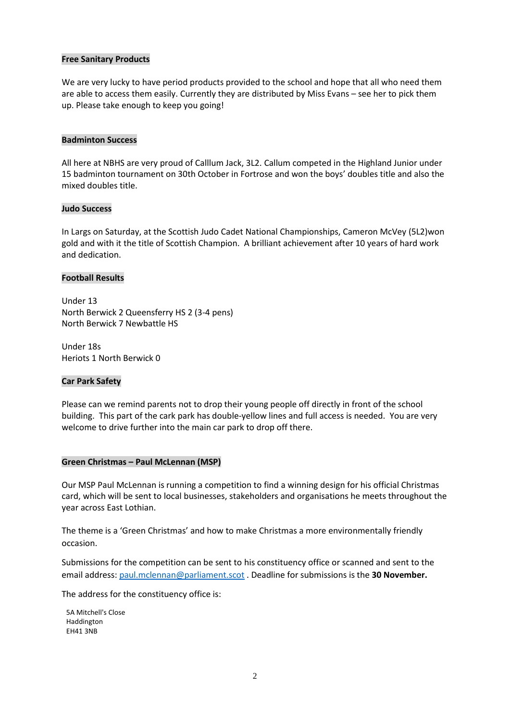#### **Free Sanitary Products**

We are very lucky to have period products provided to the school and hope that all who need them are able to access them easily. Currently they are distributed by Miss Evans – see her to pick them up. Please take enough to keep you going!

#### **Badminton Success**

All here at NBHS are very proud of Calllum Jack, 3L2. Callum competed in the Highland Junior under 15 badminton tournament on 30th October in Fortrose and won the boys' doubles title and also the mixed doubles title.

#### **Judo Success**

In Largs on Saturday, at the Scottish Judo Cadet National Championships, Cameron McVey (5L2)won gold and with it the title of Scottish Champion. A brilliant achievement after 10 years of hard work and dedication.

#### **Football Results**

Under 13 North Berwick 2 Queensferry HS 2 (3-4 pens) North Berwick 7 Newbattle HS

Under 18s Heriots 1 North Berwick 0

#### **Car Park Safety**

Please can we remind parents not to drop their young people off directly in front of the school building. This part of the cark park has double-yellow lines and full access is needed. You are very welcome to drive further into the main car park to drop off there.

# **Green Christmas – Paul McLennan (MSP)**

Our MSP Paul McLennan is running a competition to find a winning design for his official Christmas card, which will be sent to local businesses, stakeholders and organisations he meets throughout the year across East Lothian.

The theme is a 'Green Christmas' and how to make Christmas a more environmentally friendly occasion.

Submissions for the competition can be sent to his constituency office or scanned and sent to the email address: [paul.mclennan@parliament.scot](mailto:paul.mclennan@parliament.scot) . Deadline for submissions is the **30 November.**

The address for the constituency office is:

5A Mitchell's Close Haddington EH41 3NB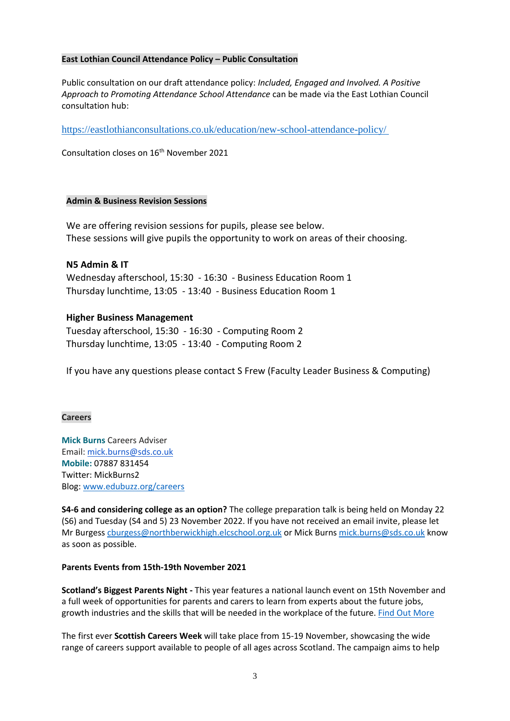### **East Lothian Council Attendance Policy – Public Consultation**

Public consultation on our draft attendance policy: *Included, Engaged and Involved. A Positive Approach to Promoting Attendance School Attendance* can be made via the East Lothian Council consultation hub:

<https://eastlothianconsultations.co.uk/education/new-school-attendance-policy/>

Consultation closes on 16<sup>th</sup> November 2021

#### **Admin & Business Revision Sessions**

We are offering revision sessions for pupils, please see below. These sessions will give pupils the opportunity to work on areas of their choosing.

# **N5 Admin & IT**

Wednesday afterschool, 15:30 - 16:30 - Business Education Room 1 Thursday lunchtime, 13:05 - 13:40 - Business Education Room 1

# **Higher Business Management**

Tuesday afterschool, 15:30 - 16:30 - Computing Room 2 Thursday lunchtime, 13:05 - 13:40 - Computing Room 2

If you have any questions please contact S Frew (Faculty Leader Business & Computing)

#### **Careers**

**Mick Burns** Careers Adviser Email: [mick.burns@sds.co.uk](https://mail.elcschool.org.uk/owa/redir.aspx?C=fbGa3DGVrsUoQB2CnJP23eXwMGzxu7J1CtarT6dTOwkq_NlpJujXCA..&URL=mailto%3amick.burns%40sds.co.uk) **Mobile:** 07887 831454 Twitter: MickBurns2 Blog: [www.edubuzz.org/careers](http://www.edubuzz.org/careers)

**S4-6 and considering college as an option?** The college preparation talk is being held on Monday 22 (S6) and Tuesday (S4 and 5) 23 November 2022. If you have not received an email invite, please let Mr Burgess [cburgess@northberwickhigh.elcschool.org.uk](mailto:cburgess@northberwickhigh.elcschool.org.uk) or Mick Burn[s mick.burns@sds.co.uk](mailto:mick.burns@sds.co.uk) know as soon as possible.

#### **Parents Events from 15th-19th November 2021**

**Scotland's Biggest Parents Night -** This year features a national launch event on 15th November and a full week of opportunities for parents and carers to learn from experts about the future jobs, growth industries and the skills that will be needed in the workplace of the future. Find Out [More](https://eur01.safelinks.protection.outlook.com/?url=https%3A%2F%2Fdyw-edinmideast.us1.list-manage.com%2Ftrack%2Fclick%3Fu%3Dd1965985bd489ab4b47f4f0c0%26id%3Dbb997e80b6%26e%3Def30a83d35&data=04%7C01%7Cmick.burns%40sds.co.uk%7C35ddb4b9ff0f4d6a426308d99adf7e19%7C33ca6d475e4f477484f1696cbb508cbe%7C0%7C0%7C637711106945689573%7CUnknown%7CTWFpbGZsb3d8eyJWIjoiMC4wLjAwMDAiLCJQIjoiV2luMzIiLCJBTiI6Ik1haWwiLCJXVCI6Mn0%3D%7C1000&sdata=ThQTQffTRM726KnzBIWFBM38obsxxVxYeMONtZ9yno0%3D&reserved=0)

The first ever **Scottish Careers Week** will take place from 15-19 November, showcasing the wide range of careers support available to people of all ages across Scotland. The campaign aims to help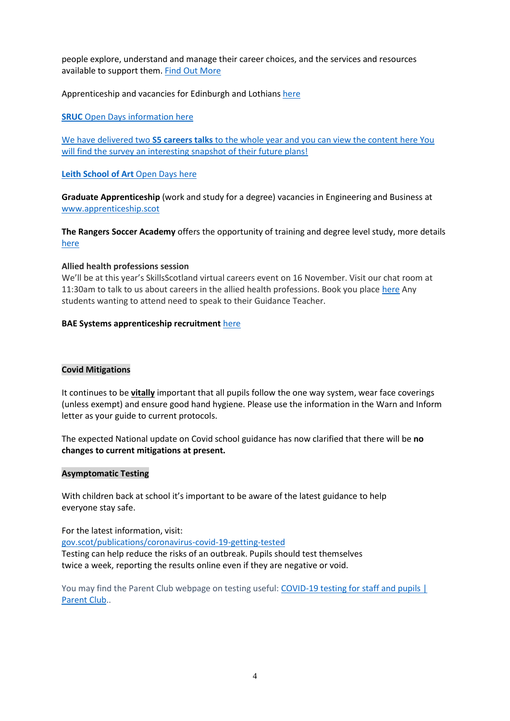people explore, understand and manage their career choices, and the services and resources available to support them. Find Out [More](https://eur01.safelinks.protection.outlook.com/?url=https%3A%2F%2Fdyw-edinmideast.us1.list-manage.com%2Ftrack%2Fclick%3Fu%3Dd1965985bd489ab4b47f4f0c0%26id%3D62e2863a58%26e%3Def30a83d35&data=04%7C01%7Cmick.burns%40sds.co.uk%7C35ddb4b9ff0f4d6a426308d99adf7e19%7C33ca6d475e4f477484f1696cbb508cbe%7C0%7C0%7C637711106945689573%7CUnknown%7CTWFpbGZsb3d8eyJWIjoiMC4wLjAwMDAiLCJQIjoiV2luMzIiLCJBTiI6Ik1haWwiLCJXVCI6Mn0%3D%7C1000&sdata=OS%2FjnAZ5hSDiK4zfLwihK9WiiaLMJ9nESdQ3G3OxxJM%3D&reserved=0)

Apprenticeship and vacancies for Edinburgh and Lothians [here](https://www.edubuzz.org/careers/2021/11/09/10578/)

**SRUC** Open Days information [here](https://www.edubuzz.org/careers/2021/11/10/sruc-open-days-2/)

We have delivered two **S5 careers talks** to the whole year and you can view the content [here](https://www.edubuzz.org/careers/2021/10/28/s5-buzz-talk-november-part-2/) You will find the survey an interesting snapshot of their future plans!

**Leith School of Art** Open Days [here](https://www.edubuzz.org/careers/2021/10/13/leith-school-of-art/)

**Graduate Apprenticeship** (work and study for a degree) vacancies in Engineering and Business at [www.apprenticeship.scot](http://www.apprenticeship.scot/)

**The Rangers Soccer Academy** offers the opportunity of training and degree level study, more details [here](https://www.edubuzz.org/careers/2021/11/02/the-rangers-soccer-academy/)

#### **Allied health professions session**

We'll be at this year's SkillsScotland virtual careers event on 16 November. Visit our chat room at 11:30am to talk to us about careers in the allied health professions. Book you place [here](https://www.edubuzz.org/careers/2021/11/04/skillsscotland-virtual-careers-event-on-16-november/) Any students wanting to attend need to speak to their Guidance Teacher.

## **BAE Systems apprenticeship recruitment** [here](https://www.edubuzz.org/careers/2021/11/04/bae-systems-apprenticeship-recruitment/)

# **Covid Mitigations**

It continues to be **vitally** important that all pupils follow the one way system, wear face coverings (unless exempt) and ensure good hand hygiene. Please use the information in the Warn and Inform letter as your guide to current protocols.

The expected National update on Covid school guidance has now clarified that there will be **no changes to current mitigations at present.**

#### **Asymptomatic Testing**

With children back at school it's important to be aware of the latest guidance to help everyone stay safe.

For the latest information, visit: [gov.scot/publications/coronavirus-covid-19-getting-tested](file://///nb-server1/subjects/Admin/Diane/Weekly%20update/September%202021/gov.scot/publications/coronavirus-covid-19-getting-tested) Testing can help reduce the risks of an outbreak. Pupils should test themselves twice a week, reporting the results online even if they are negative or void.

You may find the Parent Club webpage on testing useful: [COVID-19 testing for staff and pupils |](https://www.parentclub.scot/articles/covid-19-testing-staff-and-pupils)  [Parent Club.](https://www.parentclub.scot/articles/covid-19-testing-staff-and-pupils).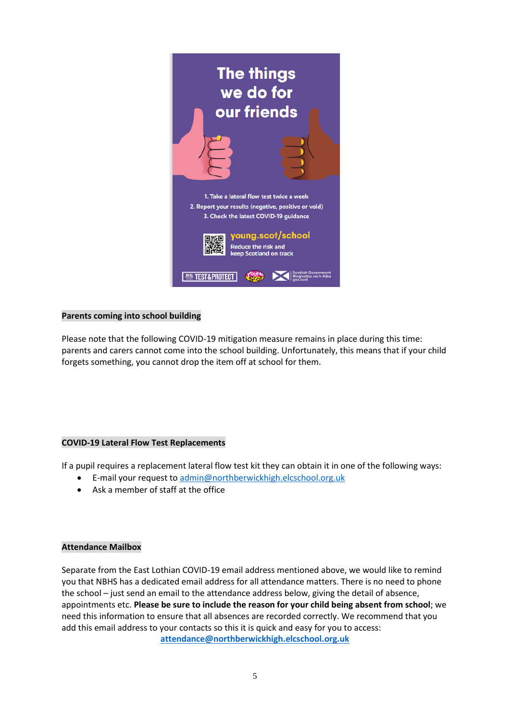

## **Parents coming into school building**

Please note that the following COVID-19 mitigation measure remains in place during this time: parents and carers cannot come into the school building. Unfortunately, this means that if your child forgets something, you cannot drop the item off at school for them.

#### **COVID-19 Lateral Flow Test Replacements**

If a pupil requires a replacement lateral flow test kit they can obtain it in one of the following ways:

- E-mail your request to [admin@northberwickhigh.elcschool.org.uk](mailto:admin@northberwickhigh.elcschool.org.uk)
- Ask a member of staff at the office

#### **Attendance Mailbox**

Separate from the East Lothian COVID-19 email address mentioned above, we would like to remind you that NBHS has a dedicated email address for all attendance matters. There is no need to phone the school – just send an email to the attendance address below, giving the detail of absence, appointments etc. **Please be sure to include the reason for your child being absent from school**; we need this information to ensure that all absences are recorded correctly. We recommend that you add this email address to your contacts so this it is quick and easy for you to access: **[attendance@northberwickhigh.elcschool.org.uk](mailto:attendance@northberwickhigh.elcschool.org.uk)**